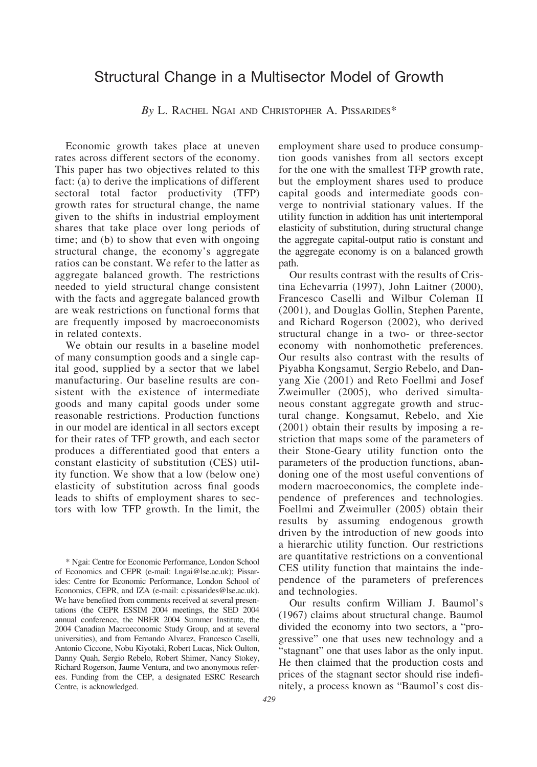# Structural Change in a Multisector Model of Growth

*By* L. RACHEL NGAI AND CHRISTOPHER A. PISSARIDES\*

Economic growth takes place at uneven rates across different sectors of the economy. This paper has two objectives related to this fact: (a) to derive the implications of different sectoral total factor productivity (TFP) growth rates for structural change, the name given to the shifts in industrial employment shares that take place over long periods of time; and (b) to show that even with ongoing structural change, the economy's aggregate ratios can be constant. We refer to the latter as aggregate balanced growth. The restrictions needed to yield structural change consistent with the facts and aggregate balanced growth are weak restrictions on functional forms that are frequently imposed by macroeconomists in related contexts.

We obtain our results in a baseline model of many consumption goods and a single capital good, supplied by a sector that we label manufacturing. Our baseline results are consistent with the existence of intermediate goods and many capital goods under some reasonable restrictions. Production functions in our model are identical in all sectors except for their rates of TFP growth, and each sector produces a differentiated good that enters a constant elasticity of substitution (CES) utility function. We show that a low (below one) elasticity of substitution across final goods leads to shifts of employment shares to sectors with low TFP growth. In the limit, the

employment share used to produce consumption goods vanishes from all sectors except for the one with the smallest TFP growth rate, but the employment shares used to produce capital goods and intermediate goods converge to nontrivial stationary values. If the utility function in addition has unit intertemporal elasticity of substitution, during structural change the aggregate capital-output ratio is constant and the aggregate economy is on a balanced growth path.

Our results contrast with the results of Cristina Echevarria (1997), John Laitner (2000), Francesco Caselli and Wilbur Coleman II (2001), and Douglas Gollin, Stephen Parente, and Richard Rogerson (2002), who derived structural change in a two- or three-sector economy with nonhomothetic preferences. Our results also contrast with the results of Piyabha Kongsamut, Sergio Rebelo, and Danyang Xie (2001) and Reto Foellmi and Josef Zweimuller (2005), who derived simultaneous constant aggregate growth and structural change. Kongsamut, Rebelo, and Xie (2001) obtain their results by imposing a restriction that maps some of the parameters of their Stone-Geary utility function onto the parameters of the production functions, abandoning one of the most useful conventions of modern macroeconomics, the complete independence of preferences and technologies. Foellmi and Zweimuller (2005) obtain their results by assuming endogenous growth driven by the introduction of new goods into a hierarchic utility function. Our restrictions are quantitative restrictions on a conventional CES utility function that maintains the independence of the parameters of preferences and technologies.

Our results confirm William J. Baumol's (1967) claims about structural change. Baumol divided the economy into two sectors, a "progressive" one that uses new technology and a "stagnant" one that uses labor as the only input. He then claimed that the production costs and prices of the stagnant sector should rise indefinitely, a process known as "Baumol's cost dis-

<sup>\*</sup> Ngai: Centre for Economic Performance, London School of Economics and CEPR (e-mail: l.ngai@lse.ac.uk); Pissarides: Centre for Economic Performance, London School of Economics, CEPR, and IZA (e-mail: c.pissarides@lse.ac.uk). We have benefited from comments received at several presentations (the CEPR ESSIM 2004 meetings, the SED 2004 annual conference, the NBER 2004 Summer Institute, the 2004 Canadian Macroeconomic Study Group, and at several universities), and from Fernando Alvarez, Francesco Caselli, Antonio Ciccone, Nobu Kiyotaki, Robert Lucas, Nick Oulton, Danny Quah, Sergio Rebelo, Robert Shimer, Nancy Stokey, Richard Rogerson, Jaume Ventura, and two anonymous referees. Funding from the CEP, a designated ESRC Research Centre, is acknowledged.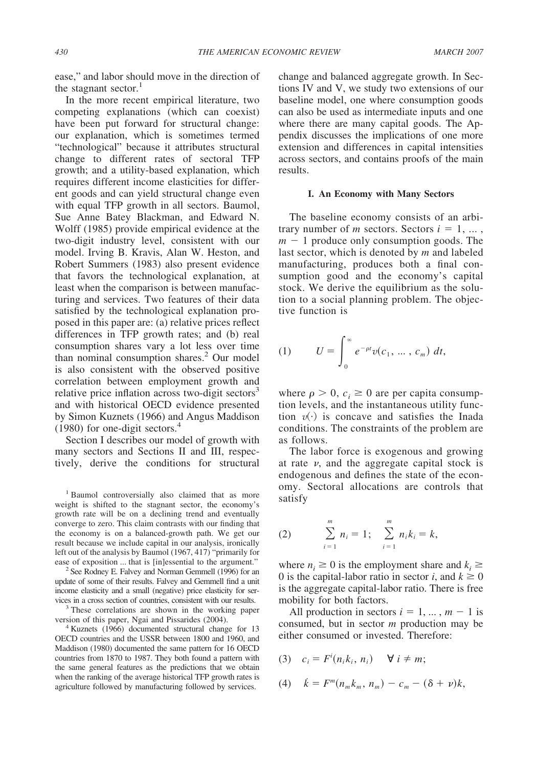ease," and labor should move in the direction of the stagnant sector. $<sup>1</sup>$ </sup>

In the more recent empirical literature, two competing explanations (which can coexist) have been put forward for structural change: our explanation, which is sometimes termed "technological" because it attributes structural change to different rates of sectoral TFP growth; and a utility-based explanation, which requires different income elasticities for different goods and can yield structural change even with equal TFP growth in all sectors. Baumol, Sue Anne Batey Blackman, and Edward N. Wolff (1985) provide empirical evidence at the two-digit industry level, consistent with our model. Irving B. Kravis, Alan W. Heston, and Robert Summers (1983) also present evidence that favors the technological explanation, at least when the comparison is between manufacturing and services. Two features of their data satisfied by the technological explanation proposed in this paper are: (a) relative prices reflect differences in TFP growth rates; and (b) real consumption shares vary a lot less over time than nominal consumption shares.<sup>2</sup> Our model is also consistent with the observed positive correlation between employment growth and relative price inflation across two-digit sectors $3$ and with historical OECD evidence presented by Simon Kuznets (1966) and Angus Maddison  $(1980)$  for one-digit sectors.<sup>4</sup>

Section I describes our model of growth with many sectors and Sections II and III, respectively, derive the conditions for structural

<sup>1</sup> Baumol controversially also claimed that as more weight is shifted to the stagnant sector, the economy's growth rate will be on a declining trend and eventually converge to zero. This claim contrasts with our finding that the economy is on a balanced-growth path. We get our result because we include capital in our analysis, ironically left out of the analysis by Baumol (1967, 417) "primarily for

ease of exposition ... that is [in]essential to the argument." <sup>2</sup> See Rodney E. Falvey and Norman Gemmell (1996) for an update of some of their results. Falvey and Gemmell find a unit income elasticity and a small (negative) price elasticity for ser-

vices in a cross section of countries, consistent with our results.<br><sup>3</sup> These correlations are shown in the working paper version of this paper, Ngai and Pissarides (2004).

 $4$  Kuznets (1966) documented structural change for 13 OECD countries and the USSR between 1800 and 1960, and Maddison (1980) documented the same pattern for 16 OECD countries from 1870 to 1987. They both found a pattern with the same general features as the predictions that we obtain when the ranking of the average historical TFP growth rates is agriculture followed by manufacturing followed by services.

change and balanced aggregate growth. In Sections IV and V, we study two extensions of our baseline model, one where consumption goods can also be used as intermediate inputs and one where there are many capital goods. The Appendix discusses the implications of one more extension and differences in capital intensities across sectors, and contains proofs of the main results.

### **I. An Economy with Many Sectors**

The baseline economy consists of an arbitrary number of *m* sectors. Sectors  $i = 1, \ldots$ ,  $m - 1$  produce only consumption goods. The last sector, which is denoted by *m* and labeled manufacturing, produces both a final consumption good and the economy's capital stock. We derive the equilibrium as the solution to a social planning problem. The objective function is

$$
(1) \qquad U = \int_0^\infty e^{-\rho t} v(c_1, \ldots, c_m) \, dt,
$$

where  $\rho > 0$ ,  $c_i \ge 0$  are per capita consumption levels, and the instantaneous utility function  $v(\cdot)$  is concave and satisfies the Inada conditions. The constraints of the problem are as follows.

The labor force is exogenous and growing at rate  $\nu$ , and the aggregate capital stock is endogenous and defines the state of the economy. Sectoral allocations are controls that satisfy

(2) 
$$
\sum_{i=1}^{m} n_i = 1; \quad \sum_{i=1}^{m} n_i k_i = k,
$$

where  $n_i \geq 0$  is the employment share and  $k_i \geq 0$ 0 is the capital-labor ratio in sector *i*, and  $k \geq 0$ is the aggregate capital-labor ratio. There is free mobility for both factors.

All production in sectors  $i = 1, ..., m - 1$  is consumed, but in sector *m* production may be either consumed or invested. Therefore:

(3)  $c_i = F^i(n_i k_i, n_i)$   $\forall i \neq m;$ 

(4) 
$$
\dot{k} = F^m(n_m k_m, n_m) - c_m - (\delta + \nu)k,
$$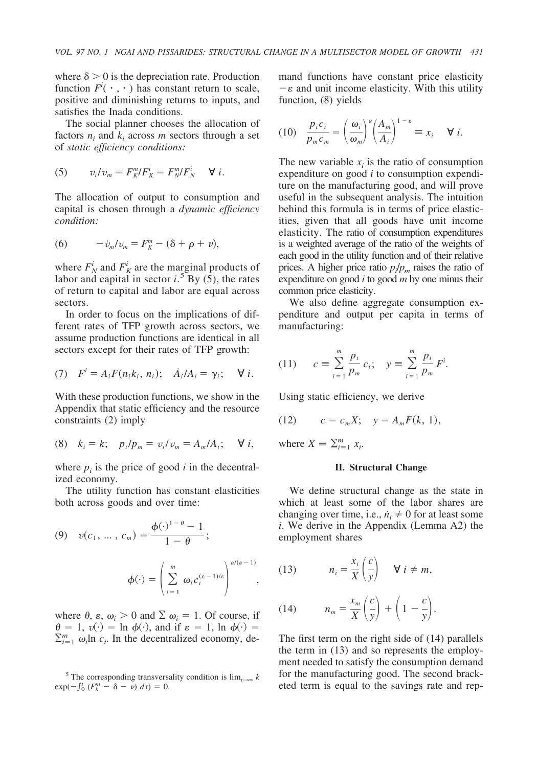where  $\delta > 0$  is the depreciation rate. Production function  $F^i$  ( $\cdot$ ,  $\cdot$ ) has constant return to scale, positive and diminishing returns to inputs, and satisfies the Inada conditions.

The social planner chooses the allocation of factors  $n_i$  and  $k_i$  across  $m$  sectors through a set of *static efficiency conditions:*

$$
(5) \t v_i/v_m = F_K^m/F_K^i = F_N^m/F_N^i \quad \forall i.
$$

The allocation of output to consumption and capital is chosen through a *dynamic efficiency condition:*

(6) 
$$
- \dot{v}_m/v_m = F_K^m - (\delta + \rho + \nu),
$$

where  $F_N^i$  and  $F_K^i$  are the marginal products of labor and capital in sector  $i$ <sup>5</sup> By (5), the rates of return to capital and labor are equal across sectors.

In order to focus on the implications of different rates of TFP growth across sectors, we assume production functions are identical in all sectors except for their rates of TFP growth:

(7) 
$$
F^i = A_i F(n_i k_i, n_i); \quad \dot{A}_i / A_i = \gamma_i; \quad \forall i.
$$

With these production functions, we show in the Appendix that static efficiency and the resource constraints (2) imply

$$
(8) \quad k_i = k; \quad p_i/p_m = v_i/v_m = A_m/A_i; \quad \forall i,
$$

where  $p_i$  is the price of good  $i$  in the decentralized economy.

The utility function has constant elasticities both across goods and over time:

(9) 
$$
v(c_1, ..., c_m) = \frac{\phi(\cdot)^{1-\theta} - 1}{1-\theta};
$$

$$
\phi(\cdot) = \left(\sum_{i=1}^m \omega_i c_i^{(\varepsilon-1)/\varepsilon}\right)^{\varepsilon/(\varepsilon-1)},
$$

where  $\theta$ ,  $\varepsilon$ ,  $\omega$ <sub>*i*</sub>  $> 0$  and  $\Sigma$   $\omega$ <sub>*i*</sub> = 1. Of course, if  $\theta = 1$ ,  $v(\cdot) = \ln \phi(\cdot)$ , and if  $\varepsilon = 1$ ,  $\ln \phi(\cdot) =$  $\sum_{i=1}^{m} \omega_i \ln c_i$ . In the decentralized economy, de-

<sup>5</sup> The corresponding transversality condition is  $\lim_{t\to\infty} k$  $\exp(-\int_0^t (F_k^m - \delta - \nu) d\tau) = 0.$ 

mand functions have constant price elasticity  $-\varepsilon$  and unit income elasticity. With this utility function, (8) yields

$$
(10) \quad \frac{p_i c_i}{p_m c_m} = \left(\frac{\omega_i}{\omega_m}\right)^{\varepsilon} \left(\frac{A_m}{A_i}\right)^{1-\varepsilon} \equiv x_i \quad \forall i.
$$

The new variable  $x_i$  is the ratio of consumption expenditure on good *i* to consumption expenditure on the manufacturing good, and will prove useful in the subsequent analysis. The intuition behind this formula is in terms of price elasticities, given that all goods have unit income elasticity. The ratio of consumption expenditures is a weighted average of the ratio of the weights of each good in the utility function and of their relative prices. A higher price ratio  $p_i/p_m$  raises the ratio of expenditure on good *i* to good *m* by one minus their common price elasticity.

We also define aggregate consumption expenditure and output per capita in terms of manufacturing:

(11) 
$$
c = \sum_{i=1}^{m} \frac{p_i}{p_m} c_i; \quad y = \sum_{i=1}^{m} \frac{p_i}{p_m} F^i.
$$

Using static efficiency, we derive

(12) 
$$
c = c_m X; \quad y = A_m F(k, 1),
$$

where  $X = \sum_{i=1}^{m} x_i$ .

## **II. Structural Change**

We define structural change as the state in which at least some of the labor shares are changing over time, i.e.,  $\dot{n}_i \neq 0$  for at least some *i*. We derive in the Appendix (Lemma A2) the employment shares

(13) 
$$
n_i = \frac{x_i}{X} \left(\frac{c}{y}\right) \quad \forall \ i \neq m,
$$
  
(14) 
$$
n_m = \frac{x_m}{X} \left(\frac{c}{y}\right) + \left(1 - \frac{c}{y}\right).
$$

The first term on the right side of (14) parallels the term in (13) and so represents the employment needed to satisfy the consumption demand for the manufacturing good. The second bracketed term is equal to the savings rate and rep-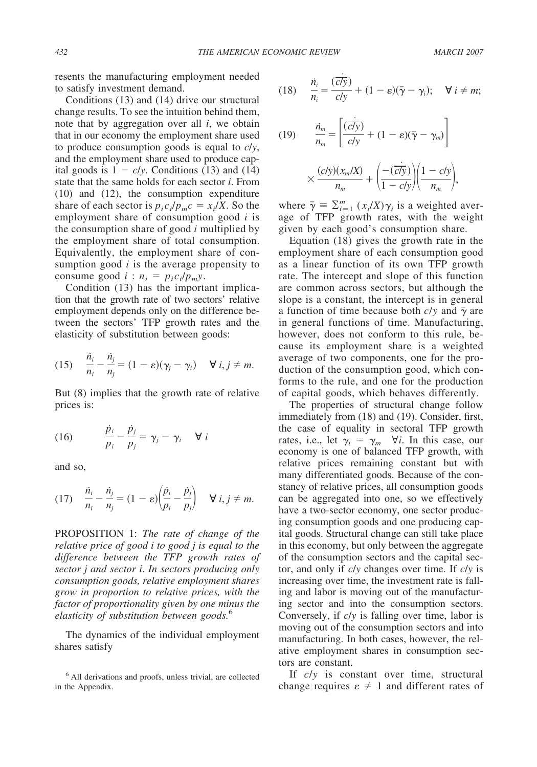Conditions (13) and (14) drive our structural change results. To see the intuition behind them, note that by aggregation over all *i*, we obtain that in our economy the employment share used to produce consumption goods is equal to *c*/*y*, and the employment share used to produce capital goods is  $1 - c/y$ . Conditions (13) and (14) state that the same holds for each sector *i*. From (10) and (12), the consumption expenditure share of each sector is  $p_i c_i / p_m c = x_i / X$ . So the employment share of consumption good *i* is the consumption share of good *i* multiplied by the employment share of total consumption. Equivalently, the employment share of consumption good *i* is the average propensity to consume good  $i : n_i = p_i c_i / p_m y$ .

Condition (13) has the important implication that the growth rate of two sectors' relative employment depends only on the difference between the sectors' TFP growth rates and the elasticity of substitution between goods:

(15) 
$$
\frac{\dot{n}_i}{n_i} - \frac{\dot{n}_j}{n_j} = (1 - \varepsilon)(\gamma_j - \gamma_i) \quad \forall i, j \neq m.
$$

But (8) implies that the growth rate of relative prices is:

(16) 
$$
\frac{\dot{p}_i}{p_i} - \frac{\dot{p}_j}{p_j} = \gamma_j - \gamma_i \quad \forall i
$$

and so,

$$
(17) \quad \frac{\dot{n}_i}{n_i} - \frac{\dot{n}_j}{n_j} = (1 - \varepsilon) \left( \frac{\dot{p}_i}{p_i} - \frac{\dot{p}_j}{p_j} \right) \quad \forall \ i, j \neq m.
$$

PROPOSITION 1: *The rate of change of the relative price of good i to good j is equal to the difference between the TFP growth rates of sector j and sector i*. *In sectors producing only consumption goods, relative employment shares grow in proportion to relative prices, with the factor of proportionality given by one minus the elasticity of substitution between goods.*<sup>6</sup>

The dynamics of the individual employment shares satisfy

(18) 
$$
\frac{\dot{n}_i}{n_i} = \frac{(\overline{c/y})}{c/y} + (1 - \varepsilon)(\overline{\gamma} - \gamma_i); \quad \forall \ i \neq m;
$$

(19) 
$$
\frac{\dot{n}_m}{n_m} = \left[ \frac{(\overrightarrow{c/y})}{c/y} + (1 - \varepsilon)(\overline{\gamma} - \gamma_m) \right] \times \frac{(c/y)(x_m/X)}{n_m} + \left( \frac{-(\overrightarrow{c/y})}{1 - c/y} \right) \left( \frac{1 - c/y}{n_m} \right),
$$

where  $\bar{\gamma} \equiv \sum_{i=1}^{m} (x_i/X)\gamma_i$  is a weighted average of TFP growth rates, with the weight given by each good's consumption share.

Equation (18) gives the growth rate in the employment share of each consumption good as a linear function of its own TFP growth rate. The intercept and slope of this function are common across sectors, but although the slope is a constant, the intercept is in general a function of time because both  $c/y$  and  $\bar{\gamma}$  are in general functions of time. Manufacturing, however, does not conform to this rule, because its employment share is a weighted average of two components, one for the production of the consumption good, which conforms to the rule, and one for the production of capital goods, which behaves differently.

The properties of structural change follow immediately from (18) and (19). Consider, first, the case of equality in sectoral TFP growth rates, i.e., let  $\gamma_i = \gamma_m$   $\forall i$ . In this case, our economy is one of balanced TFP growth, with relative prices remaining constant but with many differentiated goods. Because of the constancy of relative prices, all consumption goods can be aggregated into one, so we effectively have a two-sector economy, one sector producing consumption goods and one producing capital goods. Structural change can still take place in this economy, but only between the aggregate of the consumption sectors and the capital sector, and only if *c*/*y* changes over time. If *c*/*y* is increasing over time, the investment rate is falling and labor is moving out of the manufacturing sector and into the consumption sectors. Conversely, if *c*/*y* is falling over time, labor is moving out of the consumption sectors and into manufacturing. In both cases, however, the relative employment shares in consumption sectors are constant.

If *c*/*y* is constant over time, structural change requires  $\varepsilon \neq 1$  and different rates of

<sup>6</sup> All derivations and proofs, unless trivial, are collected in the Appendix.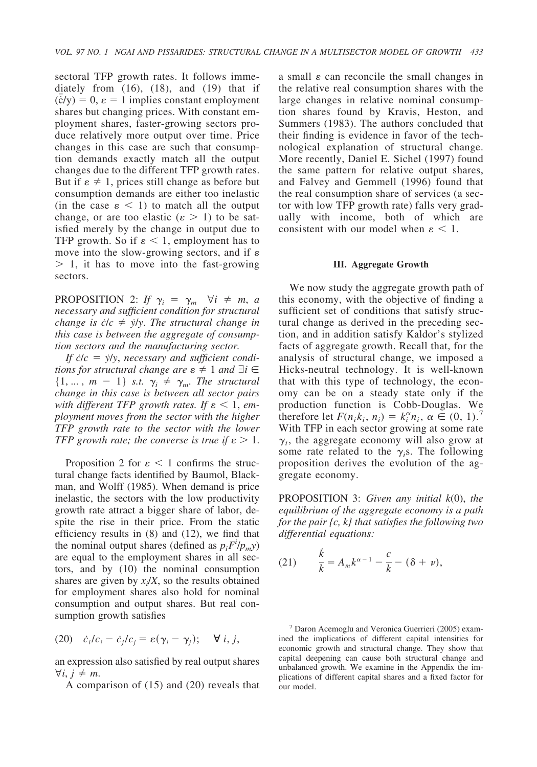sectoral TFP growth rates. It follows immediately from  $(16)$ ,  $(18)$ , and  $(19)$  that if  $(\bar{c}/y) = 0$ ,  $\varepsilon = 1$  implies constant employment shares but changing prices. With constant employment shares, faster-growing sectors produce relatively more output over time. Price changes in this case are such that consumption demands exactly match all the output changes due to the different TFP growth rates. But if  $\varepsilon \neq 1$ , prices still change as before but consumption demands are either too inelastic (in the case  $\epsilon$  < 1) to match all the output change, or are too elastic ( $\varepsilon > 1$ ) to be satisfied merely by the change in output due to TFP growth. So if  $\varepsilon < 1$ , employment has to move into the slow-growing sectors, and if  $\varepsilon$  $> 1$ , it has to move into the fast-growing sectors.

PROPOSITION 2: *If*  $\gamma_i = \gamma_m \quad \forall i \neq m, a$ *necessary and sufficient condition for structural change is*  $\dot{c}/c \neq \dot{y}/y$ *. The structural change in this case is between the aggregate of consumption sectors and the manufacturing sector.*

*If c˙*/*c y˙*/*y*, *necessary and sufficient conditions for structural change are*  $\epsilon \neq 1$  *and*  $\exists i \in$  $\{1, ..., m - 1\}$  *s.t.*  $\gamma_i \neq \gamma_m$ . The structural *change in this case is between all sector pairs* with different TFP growth rates. If  $\varepsilon < 1$ , em*ployment moves from the sector with the higher TFP growth rate to the sector with the lower TFP growth rate; the converse is true if*  $\epsilon > 1$ .

Proposition 2 for  $\varepsilon < 1$  confirms the structural change facts identified by Baumol, Blackman, and Wolff (1985). When demand is price inelastic, the sectors with the low productivity growth rate attract a bigger share of labor, despite the rise in their price. From the static efficiency results in (8) and (12), we find that the nominal output shares (defined as  $p_i F^i / p_m y$ ) are equal to the employment shares in all sectors, and by (10) the nominal consumption shares are given by  $x_i/X$ , so the results obtained for employment shares also hold for nominal consumption and output shares. But real consumption growth satisfies

(20) 
$$
\dot{c}_i/c_i - \dot{c}_j/c_j = \varepsilon (\gamma_i - \gamma_j); \quad \forall i, j,
$$

an expression also satisfied by real output shares  $\forall i, j \neq m.$ 

A comparison of (15) and (20) reveals that

a small  $\varepsilon$  can reconcile the small changes in the relative real consumption shares with the large changes in relative nominal consumption shares found by Kravis, Heston, and Summers (1983). The authors concluded that their finding is evidence in favor of the technological explanation of structural change. More recently, Daniel E. Sichel (1997) found the same pattern for relative output shares, and Falvey and Gemmell (1996) found that the real consumption share of services (a sector with low TFP growth rate) falls very gradually with income, both of which are consistent with our model when  $\varepsilon < 1$ .

#### **III. Aggregate Growth**

We now study the aggregate growth path of this economy, with the objective of finding a sufficient set of conditions that satisfy structural change as derived in the preceding section, and in addition satisfy Kaldor's stylized facts of aggregate growth. Recall that, for the analysis of structural change, we imposed a Hicks-neutral technology. It is well-known that with this type of technology, the economy can be on a steady state only if the production function is Cobb-Douglas. We therefore let  $F(n_i k_i, n_i) = k_i^{\alpha} n_i, \alpha \in (0, 1)$ .<sup>7</sup> With TFP in each sector growing at some rate  $\gamma_i$ , the aggregate economy will also grow at some rate related to the  $\gamma_i$ s. The following proposition derives the evolution of the aggregate economy.

PROPOSITION 3: *Given any initial k*(0), *the equilibrium of the aggregate economy is a path for the pair {c, k} that satisfies the following two differential equations:*

(21) 
$$
\frac{k}{k} = A_m k^{\alpha - 1} - \frac{c}{k} - (\delta + \nu),
$$

<sup>7</sup> Daron Acemoglu and Veronica Guerrieri (2005) examined the implications of different capital intensities for economic growth and structural change. They show that capital deepening can cause both structural change and unbalanced growth. We examine in the Appendix the implications of different capital shares and a fixed factor for our model.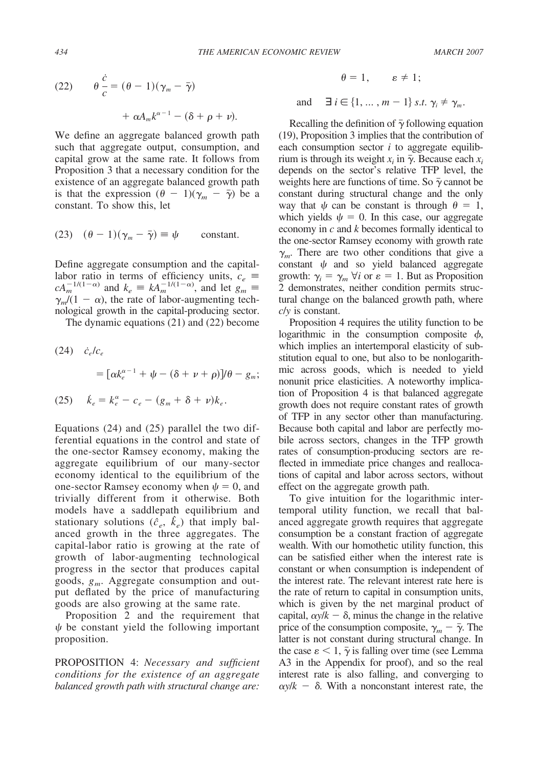We define an aggregate balanced growth path such that aggregate output, consumption, and capital grow at the same rate. It follows from Proposition 3 that a necessary condition for the existence of an aggregate balanced growth path is that the expression  $(\theta - 1)(\gamma_m - \bar{\gamma})$  be a constant. To show this, let

(23) 
$$
(\theta - 1)(\gamma_m - \bar{\gamma}) \equiv \psi
$$
 constant.

Define aggregate consumption and the capitallabor ratio in terms of efficiency units,  $c_e$  $cA_m^{-1/(1-\alpha)}$  and  $k_e \equiv kA_m^{-1/(1-\alpha)}$ , and let  $g_m^e \equiv$  $\gamma_m/(1 - \alpha)$ , the rate of labor-augmenting technological growth in the capital-producing sector.

The dynamic equations (21) and (22) become

(24) 
$$
\dot{c}_e/c_e
$$

$$
= [\alpha k_e^{\alpha-1} + \psi - (\delta + \nu + \rho)]/\theta - g_m;
$$

$$
(25) \quad \dot{k}_e = k_e^{\alpha} - c_e - (g_m + \delta + \nu)k_e.
$$

Equations (24) and (25) parallel the two differential equations in the control and state of the one-sector Ramsey economy, making the aggregate equilibrium of our many-sector economy identical to the equilibrium of the one-sector Ramsey economy when  $\psi = 0$ , and trivially different from it otherwise. Both models have a saddlepath equilibrium and stationary solutions  $(\hat{c}_e, \hat{k}_e)$  that imply balanced growth in the three aggregates. The capital-labor ratio is growing at the rate of growth of labor-augmenting technological progress in the sector that produces capital goods, *gm*. Aggregate consumption and output deflated by the price of manufacturing goods are also growing at the same rate.

Proposition 2 and the requirement that  $\psi$  be constant yield the following important proposition.

PROPOSITION 4: *Necessary and sufficient conditions for the existence of an aggregate balanced growth path with structural change are:*

$$
\theta = 1, \qquad \varepsilon \neq 1;
$$
  
and 
$$
\exists i \in \{1, ..., m-1\} \text{ s.t. } \gamma_i \neq \gamma_m.
$$

Recalling the definition of  $\bar{\gamma}$  following equation (19), Proposition 3 implies that the contribution of each consumption sector *i* to aggregate equilibrium is through its weight  $x_i$  in  $\bar{y}$ . Because each  $x_i$ depends on the sector's relative TFP level, the weights here are functions of time. So  $\bar{\gamma}$  cannot be constant during structural change and the only way that  $\psi$  can be constant is through  $\theta = 1$ , which yields  $\psi = 0$ . In this case, our aggregate economy in *c* and *k* becomes formally identical to the one-sector Ramsey economy with growth rate  $\gamma_m$ . There are two other conditions that give a constant  $\psi$  and so yield balanced aggregate growth:  $\gamma_i = \gamma_m \,\forall i \text{ or } \varepsilon = 1$ . But as Proposition 2 demonstrates, neither condition permits structural change on the balanced growth path, where *c*/*y* is constant.

Proposition 4 requires the utility function to be logarithmic in the consumption composite  $\phi$ , which implies an intertemporal elasticity of substitution equal to one, but also to be nonlogarithmic across goods, which is needed to yield nonunit price elasticities. A noteworthy implication of Proposition 4 is that balanced aggregate growth does not require constant rates of growth of TFP in any sector other than manufacturing. Because both capital and labor are perfectly mobile across sectors, changes in the TFP growth rates of consumption-producing sectors are reflected in immediate price changes and reallocations of capital and labor across sectors, without effect on the aggregate growth path.

To give intuition for the logarithmic intertemporal utility function, we recall that balanced aggregate growth requires that aggregate consumption be a constant fraction of aggregate wealth. With our homothetic utility function, this can be satisfied either when the interest rate is constant or when consumption is independent of the interest rate. The relevant interest rate here is the rate of return to capital in consumption units, which is given by the net marginal product of capital,  $\alpha y / k - \delta$ , minus the change in the relative price of the consumption composite,  $\gamma_m - \bar{\gamma}$ . The latter is not constant during structural change. In the case  $\varepsilon < 1$ ,  $\bar{\gamma}$  is falling over time (see Lemma A3 in the Appendix for proof), and so the real interest rate is also falling, and converging to  $\alpha y/k - \delta$ . With a nonconstant interest rate, the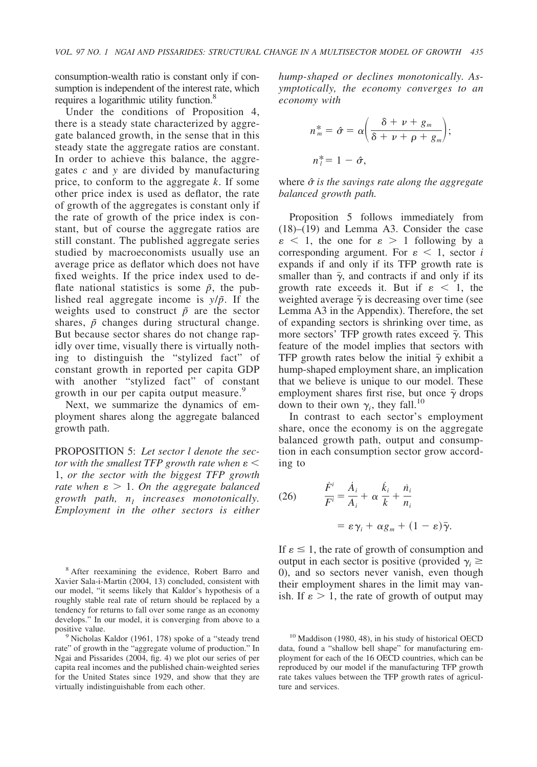consumption-wealth ratio is constant only if consumption is independent of the interest rate, which requires a logarithmic utility function.<sup>8</sup>

Under the conditions of Proposition 4, there is a steady state characterized by aggregate balanced growth, in the sense that in this steady state the aggregate ratios are constant. In order to achieve this balance, the aggregates *c* and *y* are divided by manufacturing price, to conform to the aggregate *k*. If some other price index is used as deflator, the rate of growth of the aggregates is constant only if the rate of growth of the price index is constant, but of course the aggregate ratios are still constant. The published aggregate series studied by macroeconomists usually use an average price as deflator which does not have fixed weights. If the price index used to deflate national statistics is some  $\tilde{p}$ , the published real aggregate income is  $y/\tilde{p}$ . If the weights used to construct  $\tilde{p}$  are the sector shares,  $\tilde{p}$  changes during structural change. But because sector shares do not change rapidly over time, visually there is virtually nothing to distinguish the "stylized fact" of constant growth in reported per capita GDP with another "stylized fact" of constant growth in our per capita output measure.<sup>9</sup>

Next, we summarize the dynamics of employment shares along the aggregate balanced growth path.

PROPOSITION 5: *Let sector l denote the sector with the smallest TFP growth rate when* 1, *or the sector with the biggest TFP growth rate when*  $\epsilon > 1$ *. On the aggregate balanced growth path, n<sub>l</sub> increases monotonically. Employment in the other sectors is either*

<sup>8</sup> After reexamining the evidence, Robert Barro and Xavier Sala-i-Martin (2004, 13) concluded, consistent with our model, "it seems likely that Kaldor's hypothesis of a roughly stable real rate of return should be replaced by a tendency for returns to fall over some range as an economy develops." In our model, it is converging from above to a positive value.<br><sup>9</sup> Nicholas Kaldor (1961, 178) spoke of a "steady trend

rate" of growth in the "aggregate volume of production." In Ngai and Pissarides (2004, fig. 4) we plot our series of per capita real incomes and the published chain-weighted series for the United States since 1929, and show that they are virtually indistinguishable from each other.

*hump-shaped or declines monotonically. Asymptotically, the economy converges to an economy with*

$$
n_m^* = \hat{\sigma} = \alpha \bigg( \frac{\delta + \nu + g_m}{\delta + \nu + \rho + g_m} \bigg);
$$
  

$$
n_l^* = 1 - \hat{\sigma},
$$

where *ˆ is the savings rate along the aggregate balanced growth path.*

Proposition 5 follows immediately from (18)–(19) and Lemma A3. Consider the case  $\epsilon$  < 1, the one for  $\epsilon$  > 1 following by a corresponding argument. For  $\varepsilon < 1$ , sector *i* expands if and only if its TFP growth rate is smaller than  $\bar{\gamma}$ , and contracts if and only if its growth rate exceeds it. But if  $\varepsilon < 1$ , the weighted average  $\bar{\gamma}$  is decreasing over time (see Lemma A3 in the Appendix). Therefore, the set of expanding sectors is shrinking over time, as more sectors' TFP growth rates exceed  $\bar{\gamma}$ . This feature of the model implies that sectors with TFP growth rates below the initial  $\bar{\gamma}$  exhibit a hump-shaped employment share, an implication that we believe is unique to our model. These employment shares first rise, but once  $\bar{\gamma}$  drops down to their own  $\gamma_i$ , they fall.<sup>10</sup>

In contrast to each sector's employment share, once the economy is on the aggregate balanced growth path, output and consumption in each consumption sector grow according to

(26) 
$$
\frac{\dot{F}^i}{F^i} = \frac{\dot{A}_i}{A_i} + \alpha \frac{\dot{k}_i}{k} + \frac{\dot{n}_i}{n_i}
$$

$$
= \varepsilon \gamma_i + \alpha g_m + (1 - \varepsilon) \overline{\gamma}.
$$

If  $\varepsilon \leq 1$ , the rate of growth of consumption and output in each sector is positive (provided  $\gamma_i \geq$ 0), and so sectors never vanish, even though their employment shares in the limit may vanish. If  $\varepsilon > 1$ , the rate of growth of output may

 $10$  Maddison (1980, 48), in his study of historical OECD data, found a "shallow bell shape" for manufacturing employment for each of the 16 OECD countries, which can be reproduced by our model if the manufacturing TFP growth rate takes values between the TFP growth rates of agriculture and services.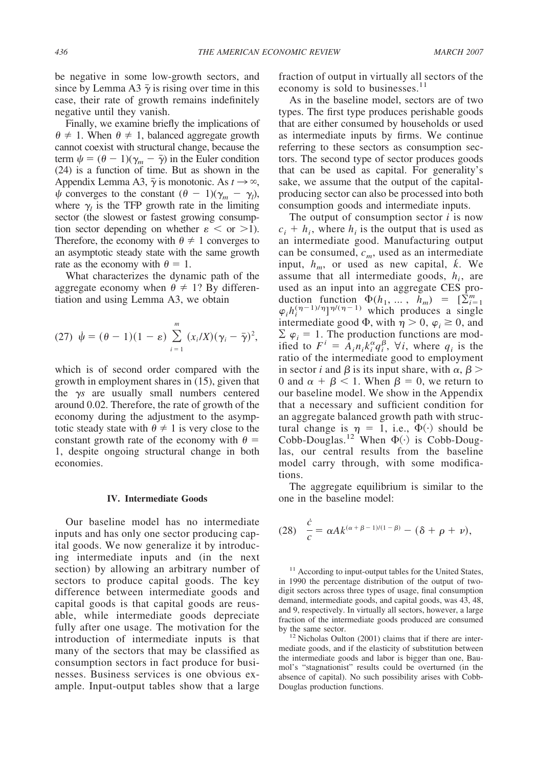be negative in some low-growth sectors, and since by Lemma A3  $\bar{\gamma}$  is rising over time in this case, their rate of growth remains indefinitely negative until they vanish.

Finally, we examine briefly the implications of  $\theta \neq 1$ . When  $\theta \neq 1$ , balanced aggregate growth cannot coexist with structural change, because the term  $\psi = (\theta - 1)(\gamma_m - \bar{\gamma})$  in the Euler condition (24) is a function of time. But as shown in the Appendix Lemma A3,  $\bar{\gamma}$  is monotonic. As  $t \to \infty$ ,  $\psi$  converges to the constant  $(\theta - 1)(\gamma_m - \gamma_l)$ , where  $\gamma_l$  is the TFP growth rate in the limiting sector (the slowest or fastest growing consumption sector depending on whether  $\varepsilon <$  or >1). Therefore, the economy with  $\theta \neq 1$  converges to an asymptotic steady state with the same growth rate as the economy with  $\theta = 1$ .

What characterizes the dynamic path of the aggregate economy when  $\theta \neq 1$ ? By differentiation and using Lemma A3, we obtain

(27) 
$$
\dot{\psi} = (\theta - 1)(1 - \varepsilon) \sum_{i=1}^{m} (x_i/X)(\gamma_i - \bar{\gamma})^2
$$
,

which is of second order compared with the growth in employment shares in (15), given that the  $\gamma s$  are usually small numbers centered around 0.02. Therefore, the rate of growth of the economy during the adjustment to the asymptotic steady state with  $\theta \neq 1$  is very close to the constant growth rate of the economy with  $\theta =$ 1, despite ongoing structural change in both economies.

#### **IV. Intermediate Goods**

Our baseline model has no intermediate inputs and has only one sector producing capital goods. We now generalize it by introducing intermediate inputs and (in the next section) by allowing an arbitrary number of sectors to produce capital goods. The key difference between intermediate goods and capital goods is that capital goods are reusable, while intermediate goods depreciate fully after one usage. The motivation for the introduction of intermediate inputs is that many of the sectors that may be classified as consumption sectors in fact produce for businesses. Business services is one obvious example. Input-output tables show that a large

fraction of output in virtually all sectors of the economy is sold to businesses. $^{11}$ 

As in the baseline model, sectors are of two types. The first type produces perishable goods that are either consumed by households or used as intermediate inputs by firms. We continue referring to these sectors as consumption sectors. The second type of sector produces goods that can be used as capital. For generality's sake, we assume that the output of the capitalproducing sector can also be processed into both consumption goods and intermediate inputs.

The output of consumption sector *i* is now  $c_i + h_i$ , where  $h_i$  is the output that is used as an intermediate good. Manufacturing output can be consumed,  $c_m$ , used as an intermediate input,  $h_m$ , or used as new capital,  $\dot{k}$ . We assume that all intermediate goods,  $h_i$ , are used as an input into an aggregate CES production function  $\Phi(h_1, ..., h_m) = [\sum_{i=1}^m$  $\varphi_i h_i^{(\eta-1)/\eta} \gamma^{(\eta-1)}$  which produces a single intermediate good  $\Phi$ , with  $\eta > 0$ ,  $\varphi_i \geq 0$ , and  $\sum \varphi_i = 1$ . The production functions are modified to  $F^i = A_i n_i k_i^{\alpha} q_i^{\beta}$ ,  $\forall i$ , where  $q_i$  is the ratio of the intermediate good to employment in sector *i* and  $\beta$  is its input share, with  $\alpha$ ,  $\beta$  > 0 and  $\alpha + \beta < 1$ . When  $\beta = 0$ , we return to our baseline model. We show in the Appendix that a necessary and sufficient condition for an aggregate balanced growth path with structural change is  $\eta = 1$ , i.e.,  $\Phi(\cdot)$  should be Cobb-Douglas.<sup>12</sup> When  $\Phi(\cdot)$  is Cobb-Douglas, our central results from the baseline model carry through, with some modifications.

The aggregate equilibrium is similar to the one in the baseline model:

(28) 
$$
\frac{\dot{c}}{c} = \alpha A k^{(\alpha + \beta - 1)/(1 - \beta)} - (\delta + \rho + \nu),
$$

<sup>11</sup> According to input-output tables for the United States, in 1990 the percentage distribution of the output of twodigit sectors across three types of usage, final consumption demand, intermediate goods, and capital goods, was 43, 48, and 9, respectively. In virtually all sectors, however, a large fraction of the intermediate goods produced are consumed by the same sector.<br><sup>12</sup> Nicholas Oulton (2001) claims that if there are inter-

mediate goods, and if the elasticity of substitution between the intermediate goods and labor is bigger than one, Baumol's "stagnationist" results could be overturned (in the absence of capital). No such possibility arises with Cobb-Douglas production functions.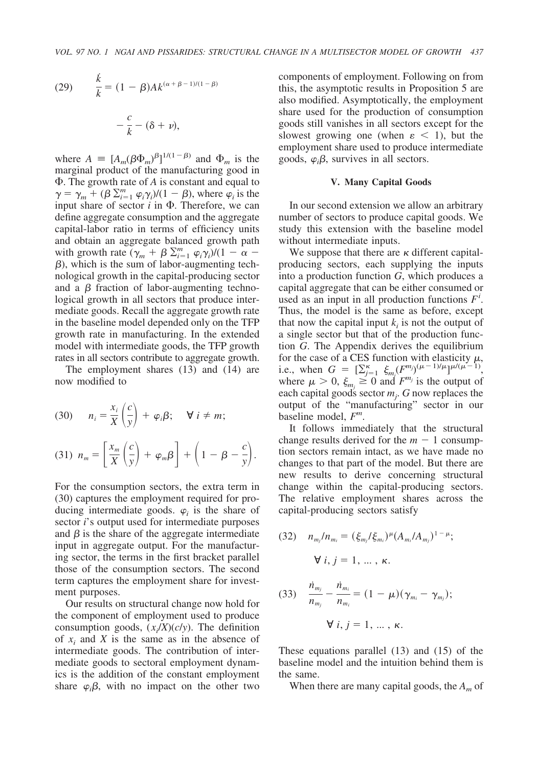(29) 
$$
\frac{\dot{k}}{k} = (1 - \beta)Ak^{(\alpha + \beta - 1)/(1 - \beta)}
$$

$$
-\frac{c}{k} - (\delta + \nu),
$$

where  $A = [A_m(\beta \Phi_m)^{\beta}]^{1/(1-\beta)}$  and  $\Phi_m$  is the marginal product of the manufacturing good in . The growth rate of *A* is constant and equal to  $\gamma = \gamma_m + (\beta \sum_{i=1}^m \varphi_i \gamma_i)/(1 - \beta)$ , where  $\varphi_i$  is the input share of sector  $i$  in  $\Phi$ . Therefore, we can define aggregate consumption and the aggregate capital-labor ratio in terms of efficiency units and obtain an aggregate balanced growth path with growth rate  $(\gamma_m + \beta \sum_{i=1}^m \varphi_i \gamma_i)/(1 - \alpha - \beta)$  $\beta$ ), which is the sum of labor-augmenting technological growth in the capital-producing sector and a  $\beta$  fraction of labor-augmenting technological growth in all sectors that produce intermediate goods. Recall the aggregate growth rate in the baseline model depended only on the TFP growth rate in manufacturing. In the extended model with intermediate goods, the TFP growth rates in all sectors contribute to aggregate growth.

The employment shares (13) and (14) are now modified to

(30) 
$$
n_i = \frac{x_i}{X} \left( \frac{c}{y} \right) + \varphi_i \beta; \quad \forall i \neq m;
$$

(31) 
$$
n_m = \left[\frac{x_m}{X}\left(\frac{c}{y}\right) + \varphi_m\beta\right] + \left(1 - \beta - \frac{c}{y}\right).
$$

For the consumption sectors, the extra term in (30) captures the employment required for producing intermediate goods.  $\varphi_i$  is the share of sector *i*'s output used for intermediate purposes and  $\beta$  is the share of the aggregate intermediate input in aggregate output. For the manufacturing sector, the terms in the first bracket parallel those of the consumption sectors. The second term captures the employment share for investment purposes.

Our results on structural change now hold for the component of employment used to produce consumption goods,  $(x_i/X)(c/y)$ . The definition of  $x_i$  and  $X$  is the same as in the absence of intermediate goods. The contribution of intermediate goods to sectoral employment dynamics is the addition of the constant employment share  $\varphi_i\beta$ , with no impact on the other two

components of employment. Following on from this, the asymptotic results in Proposition 5 are also modified. Asymptotically, the employment share used for the production of consumption goods still vanishes in all sectors except for the slowest growing one (when  $\varepsilon < 1$ ), but the employment share used to produce intermediate goods,  $\varphi_i\beta$ , survives in all sectors.

## **V. Many Capital Goods**

In our second extension we allow an arbitrary number of sectors to produce capital goods. We study this extension with the baseline model without intermediate inputs.

We suppose that there are  $\kappa$  different capitalproducing sectors, each supplying the inputs into a production function *G*, which produces a capital aggregate that can be either consumed or used as an input in all production functions  $F^i$ . Thus, the model is the same as before, except that now the capital input  $k_i$  is not the output of a single sector but that of the production function *G*. The Appendix derives the equilibrium for the case of a CES function with elasticity  $\mu$ , i.e., when  $G = \left[\sum_{j=1}^{\kappa} \xi_{mj}(F^{m_j})(\mu-1)/\mu\right] \mu/(\mu-1)}$ where  $\mu > 0$ ,  $\xi_{m_j} \ge 0$  and  $F^{m_j}$  is the output of each capital goods sector *mj* . *G* now replaces the output of the "manufacturing" sector in our baseline model, *Fm*.

It follows immediately that the structural change results derived for the  $m - 1$  consumption sectors remain intact, as we have made no changes to that part of the model. But there are new results to derive concerning structural change within the capital-producing sectors. The relative employment shares across the capital-producing sectors satisfy

(32) 
$$
n_{m_j}/n_{m_i} = (\xi_{m_j}/\xi_{m_i})^{\mu}(A_{m_i}/A_{m_j})^{1-\mu};
$$
  
\n $\forall i, j = 1, ..., \kappa.$   
\n(33)  $\frac{\dot{n}_{m_j}}{n} - \frac{\dot{n}_{m_i}}{n} = (1 - \mu)(\gamma_{m_i} - \gamma_{m_i});$ 

(33) 
$$
\frac{m_j}{n_{m_j}} - \frac{m_i}{n_{m_i}} = (1 - \mu)(\gamma_{m_i} - \gamma_{m_j});
$$

$$
\forall i, j = 1, ..., \kappa.
$$

These equations parallel (13) and (15) of the baseline model and the intuition behind them is the same.

When there are many capital goods, the *Am* of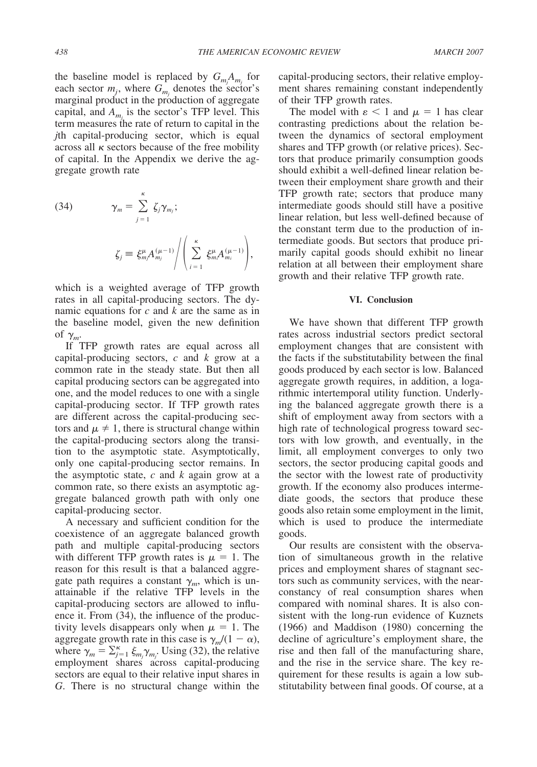the baseline model is replaced by  $G_{m_j}A_{m_j}$  for each sector  $m_j$ , where  $G_{m_i}$  denotes the sector's marginal product in the production of aggregate capital, and  $A_{m<sub>i</sub>}$  is the sector's TFP level. This term measures the rate of return to capital in the *j*th capital-producing sector, which is equal across all  $\kappa$  sectors because of the free mobility of capital. In the Appendix we derive the aggregate growth rate

(34) 
$$
\gamma_m = \sum_{j=1}^{\kappa} \zeta_j \gamma_{m_j};
$$

$$
\zeta_j \equiv \xi_{m_j}^{\mu} A_{m_j}^{(\mu-1)} / \left( \sum_{i=1}^{\kappa} \xi_{m_i}^{\mu} A_{m_i}^{(\mu-1)} \right),
$$

which is a weighted average of TFP growth rates in all capital-producing sectors. The dynamic equations for *c* and *k* are the same as in the baseline model, given the new definition of *m*.

If TFP growth rates are equal across all capital-producing sectors, *c* and *k* grow at a common rate in the steady state. But then all capital producing sectors can be aggregated into one, and the model reduces to one with a single capital-producing sector. If TFP growth rates are different across the capital-producing sectors and  $\mu \neq 1$ , there is structural change within the capital-producing sectors along the transition to the asymptotic state. Asymptotically, only one capital-producing sector remains. In the asymptotic state, *c* and *k* again grow at a common rate, so there exists an asymptotic aggregate balanced growth path with only one capital-producing sector.

A necessary and sufficient condition for the coexistence of an aggregate balanced growth path and multiple capital-producing sectors with different TFP growth rates is  $\mu = 1$ . The reason for this result is that a balanced aggregate path requires a constant  $\gamma_m$ , which is unattainable if the relative TFP levels in the capital-producing sectors are allowed to influence it. From (34), the influence of the productivity levels disappears only when  $\mu = 1$ . The aggregate growth rate in this case is  $\gamma_m/(1 - \alpha)$ , where  $\gamma_m = \sum_{j=1}^{\kappa} \xi_{m_j} \gamma_{m_j}$ . Using (32), the relative employment shares across capital-producing sectors are equal to their relative input shares in *G*. There is no structural change within the

capital-producing sectors, their relative employment shares remaining constant independently of their TFP growth rates.

The model with  $\epsilon$  < 1 and  $\mu$  = 1 has clear contrasting predictions about the relation between the dynamics of sectoral employment shares and TFP growth (or relative prices). Sectors that produce primarily consumption goods should exhibit a well-defined linear relation between their employment share growth and their TFP growth rate; sectors that produce many intermediate goods should still have a positive linear relation, but less well-defined because of the constant term due to the production of intermediate goods. But sectors that produce primarily capital goods should exhibit no linear relation at all between their employment share growth and their relative TFP growth rate.

# **VI. Conclusion**

We have shown that different TFP growth rates across industrial sectors predict sectoral employment changes that are consistent with the facts if the substitutability between the final goods produced by each sector is low. Balanced aggregate growth requires, in addition, a logarithmic intertemporal utility function. Underlying the balanced aggregate growth there is a shift of employment away from sectors with a high rate of technological progress toward sectors with low growth, and eventually, in the limit, all employment converges to only two sectors, the sector producing capital goods and the sector with the lowest rate of productivity growth. If the economy also produces intermediate goods, the sectors that produce these goods also retain some employment in the limit, which is used to produce the intermediate goods.

Our results are consistent with the observation of simultaneous growth in the relative prices and employment shares of stagnant sectors such as community services, with the nearconstancy of real consumption shares when compared with nominal shares. It is also consistent with the long-run evidence of Kuznets (1966) and Maddison (1980) concerning the decline of agriculture's employment share, the rise and then fall of the manufacturing share, and the rise in the service share. The key requirement for these results is again a low substitutability between final goods. Of course, at a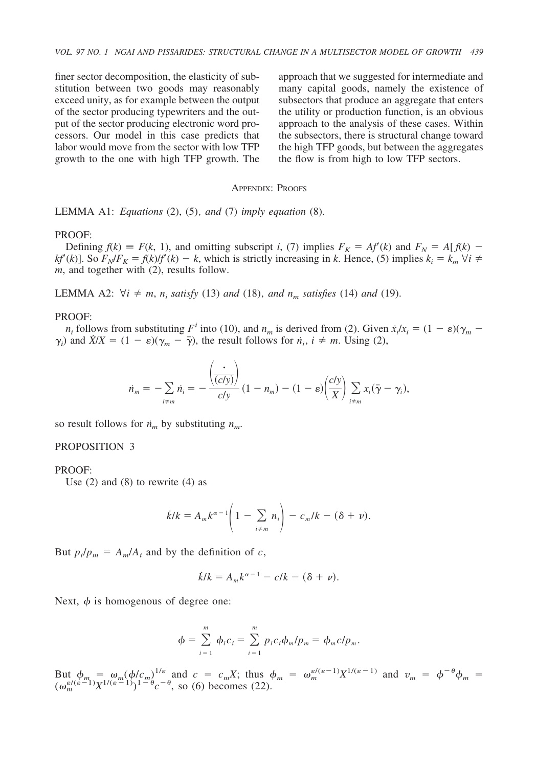finer sector decomposition, the elasticity of substitution between two goods may reasonably exceed unity, as for example between the output of the sector producing typewriters and the output of the sector producing electronic word processors. Our model in this case predicts that labor would move from the sector with low TFP growth to the one with high TFP growth. The

approach that we suggested for intermediate and many capital goods, namely the existence of subsectors that produce an aggregate that enters the utility or production function, is an obvious approach to the analysis of these cases. Within the subsectors, there is structural change toward the high TFP goods, but between the aggregates the flow is from high to low TFP sectors.

#### APPENDIX: PROOFS

LEMMA A1: *Equations* (2), (5)*, and* (7) *imply equation* (8).

# PROOF:

Defining  $f(k) \equiv F(k, 1)$ , and omitting subscript *i*, (7) implies  $F_K = Af(k)$  and  $F_N = A[f(k)$ *kf*<sup> $f(k)$ ]. So  $F_N/F_K = f(k)/f(k) - k$ , which is strictly increasing in *k*. Hence, (5) implies  $k_i = k_m \forall i \neq j$ </sup> *m*, and together with (2), results follow.

LEMMA A2:  $\forall i \neq m$ ,  $n_i$  *satisfy* (13) *and* (18)*, and*  $n_m$  *satisfies* (14) *and* (19).

## PROOF:

 $n_i$  follows from substituting  $F^i$  into (10), and  $n_m$  is derived from (2). Given  $\dot{x}_i/x_i = (1 - \varepsilon)(\gamma_m - \gamma_i)$  and  $\dot{X}/X = (1 - \varepsilon)(\gamma_m - \overline{\gamma})$ , the result follows for  $n_i$ ,  $i \neq m$ . Using (2),

$$
\dot{n}_m = -\sum_{i \neq m} \dot{n}_i = -\frac{\left(\frac{\cdot}{(c/y)}\right)}{c/y} (1 - n_m) - (1 - \varepsilon) \left(\frac{c/y}{X}\right) \sum_{i \neq m} x_i (\bar{\gamma} - \gamma_i),
$$

so result follows for  $\dot{n}_m$  by substituting  $n_m$ .

#### PROPOSITION 3

## PROOF:

Use  $(2)$  and  $(8)$  to rewrite  $(4)$  as

$$
\dot{k}/k = A_m k^{\alpha-1} \bigg( 1 - \sum_{i \neq m} n_i \bigg) - c_m / k - (\delta + \nu).
$$

But  $p_i/p_m = A_m/A_i$  and by the definition of *c*,

$$
\dot{k}/k = A_m k^{\alpha - 1} - c/k - (\delta + \nu).
$$

Next,  $\phi$  is homogenous of degree one:

$$
\phi = \sum_{i=1}^m \phi_i c_i = \sum_{i=1}^m p_i c_i \phi_m / p_m = \phi_m c / p_m.
$$

But  $\phi_m = \omega_m (\phi/c_m)^{1/\varepsilon}$  and  $c = c_m X$ ; thus  $\phi_m = \omega_m^{\varepsilon/(\varepsilon-1)} X^{1/(\varepsilon-1)}$  and  $v_m = \phi^{-\theta} \phi_m =$  $(\omega_m^{\varepsilon/(\varepsilon^{m_1})} X^{1/(\varepsilon^{m_1})})^{1}$ <sup>n</sup>  $^{\varepsilon^{m_0}}c^{-\theta}$ , so (6) becomes (22).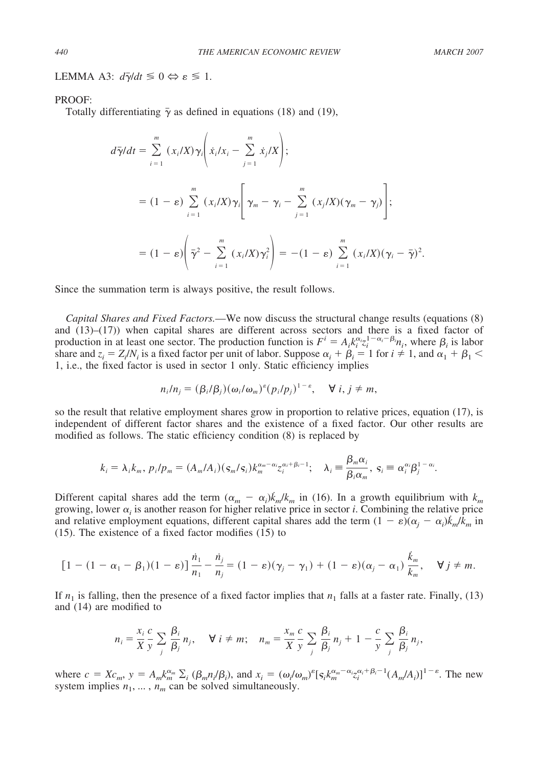LEMMA A3:  $d\bar{\gamma}/dt \leq 0 \Leftrightarrow \varepsilon \leq 1$ .

#### PROOF:

Totally differentiating  $\bar{\gamma}$  as defined in equations (18) and (19),

$$
d\bar{\gamma}/dt = \sum_{i=1}^{m} (x_i/X)\gamma_i \left(\dot{x}_i/x_i - \sum_{j=1}^{m} \dot{x}_j/X\right);
$$
  
\n
$$
= (1 - \varepsilon) \sum_{i=1}^{m} (x_i/X)\gamma_i \left[\gamma_m - \gamma_i - \sum_{j=1}^{m} (x_j/X)(\gamma_m - \gamma_j)\right];
$$
  
\n
$$
= (1 - \varepsilon) \left(\bar{\gamma}^2 - \sum_{i=1}^{m} (x_i/X)\gamma_i^2\right) = -(1 - \varepsilon) \sum_{i=1}^{m} (x_i/X)(\gamma_i - \bar{\gamma})^2.
$$

Since the summation term is always positive, the result follows.

*Capital Shares and Fixed Factors.*—We now discuss the structural change results (equations (8) and  $(13)$ – $(17)$ ) when capital shares are different across sectors and there is a fixed factor of production in at least one sector. The production function is  $F^i = A_i k_i^{\alpha_i} z_i^{1-\alpha_i-\beta_i} n_i$ , where  $\beta_i$  is labor share and  $z_i = Z_i/N_i$  is a fixed factor per unit of labor. Suppose  $\alpha_i + \beta_i = 1$  for  $i \neq 1$ , and  $\alpha_1 + \beta_1$ 1, i.e., the fixed factor is used in sector 1 only. Static efficiency implies

$$
n_i/n_j = (\beta_i/\beta_j)(\omega_i/\omega_m)^{\epsilon}(p_i/p_j)^{1-\epsilon}, \quad \forall i, j \neq m,
$$

so the result that relative employment shares grow in proportion to relative prices, equation (17), is independent of different factor shares and the existence of a fixed factor. Our other results are modified as follows. The static efficiency condition (8) is replaced by

$$
k_i = \lambda_i k_m, p_i/p_m = (A_m/A_i)(\varsigma_m/\varsigma_i)k_m^{\alpha_m-\alpha_i}z_i^{\alpha_i+\beta_i-1}; \quad \lambda_i = \frac{\beta_m\alpha_i}{\beta_i\alpha_m}, \ \varsigma_i \equiv \alpha_i^{\alpha_i}\beta_j^{1-\alpha_i}.
$$

Different capital shares add the term  $(\alpha_m - \alpha_i)k_m/k_m$  in (16). In a growth equilibrium with  $k_m$ growing, lower  $\alpha_i$  is another reason for higher relative price in sector *i*. Combining the relative price and relative employment equations, different capital shares add the term  $(1 - \varepsilon)(\alpha_j - \alpha_i)k_m/k_m$  in (15). The existence of a fixed factor modifies (15) to

$$
[1-(1-\alpha_1-\beta_1)(1-\varepsilon)]\frac{\dot{n}_1}{n_1}-\frac{\dot{n}_j}{n_j}=(1-\varepsilon)(\gamma_j-\gamma_1)+(1-\varepsilon)(\alpha_j-\alpha_1)\frac{\dot{k}_m}{k_m},\quad \forall j\neq m.
$$

If  $n_1$  is falling, then the presence of a fixed factor implies that  $n_1$  falls at a faster rate. Finally, (13) and (14) are modified to

$$
n_i = \frac{x_i}{X} \frac{c}{y} \sum_j \frac{\beta_i}{\beta_j} n_j, \quad \forall i \neq m; \quad n_m = \frac{x_m}{X} \frac{c}{y} \sum_j \frac{\beta_i}{\beta_j} n_j + 1 - \frac{c}{y} \sum_j \frac{\beta_i}{\beta_j} n_j,
$$

where  $c = Xc_m$ ,  $y = A_m k_m^{\alpha_m} \sum_i (\beta_m n_i/\beta_i)$ , and  $x_i = (\omega_i/\omega_m)^{\epsilon} [s_i k_m^{\alpha_m - \alpha_i} z_i^{\alpha_i + \beta_i - 1} (A_m/A_i)]^{1 - \epsilon}$ . The new system implies  $n_1, \ldots, n_m$  can be solved simultaneously.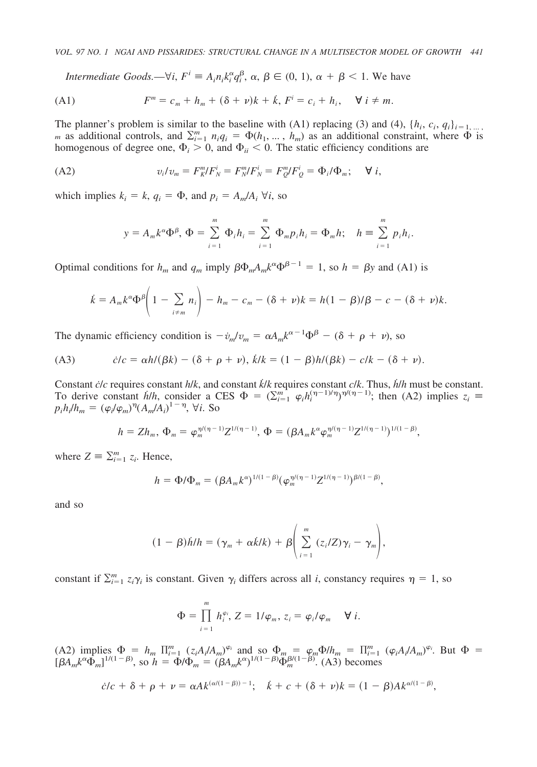*Intermediate Goods.*— $\forall i$ ,  $F^i \equiv A_i n_i k_i^{\alpha} q_i^{\beta}$ ,  $\alpha, \beta \in (0, 1)$ ,  $\alpha + \beta < 1$ . We have

(A1) 
$$
F^{m} = c_{m} + h_{m} + (\delta + \nu)k + k, F^{i} = c_{i} + h_{i}, \quad \forall i \neq m.
$$

The planner's problem is similar to the baseline with (A1) replacing (3) and (4),  $\{h_i, c_i, q_i\}_{i=1,\dots}$ *m* as additional controls, and  $\sum_{i=1}^{m} n_i q_i = \Phi(h_1, ..., h_m)$  as an additional constraint, where  $\Phi$  is homogenous of degree one,  $\Phi_i > 0$ , and  $\Phi_{ii} < 0$ . The static efficiency conditions are

(A2) 
$$
v_i/v_m = F_K^m/F_N^i = F_N^m/F_N^i = F_Q^m/F_Q^i = \Phi_i/\Phi_m; \quad \forall i,
$$

which implies  $k_i = k$ ,  $q_i = \Phi$ , and  $p_i = A_m/A_i$   $\forall i$ , so

$$
y = A_m k^{\alpha} \Phi^{\beta}, \Phi = \sum_{i=1}^{m} \Phi_i h_i = \sum_{i=1}^{m} \Phi_m p_i h_i = \Phi_m h; \quad h \equiv \sum_{i=1}^{m} p_i h_i.
$$

Optimal conditions for  $h_m$  and  $q_m$  imply  $\beta \Phi_m A_m k^{\alpha} \Phi^{\beta-1} = 1$ , so  $h = \beta y$  and (A1) is

$$
\dot{k} = A_m k^{\alpha} \Phi^{\beta} \left( 1 - \sum_{i \neq m} n_i \right) - h_m - c_m - (\delta + \nu) k = h(1 - \beta) / \beta - c - (\delta + \nu) k.
$$

The dynamic efficiency condition is  $-i_m/v_m = \alpha A_m k^{\alpha-1} \Phi^{\beta} - (\delta + \rho + \nu)$ , so

(A3) 
$$
\dot{c}/c = \alpha h/(\beta k) - (\delta + \rho + \nu), \dot{k}/k = (1 - \beta)h/(\beta k) - c/k - (\delta + \nu).
$$

Constant *c˙*/*c* requires constant *h*/*k*, and constant *k˙*/*k* requires constant *c*/*k*. Thus, *h˙*/*h* must be constant. To derive constant  $h/h$ , consider a CES  $\Phi = (\sum_{i=1}^{m} \varphi_i h_i^{(\eta-1)/\eta})^{\eta/(\eta-1)}$ ; then (A2) implies  $z_i \equiv$  $p_i h_i / h_m = (\varphi_i / \varphi_m)^{\eta} (A_m / A_i)^{1 - \eta}, \forall i.$  So

$$
h = Zh_m, \, \Phi_m = \varphi_m^{\eta/(\eta-1)} Z^{1/(\eta-1)}, \, \Phi = (\beta A_m k^{\alpha} \varphi_m^{\eta/(\eta-1)} Z^{1/(\eta-1)})^{1/(1-\beta)},
$$

where  $Z = \sum_{i=1}^{m} z_i$ . Hence,

$$
h = \Phi/\Phi_m = (\beta A_m k^{\alpha})^{1/(1-\beta)} (\varphi_m^{\eta/(\eta-1)} Z^{1/(\eta-1)})^{\beta/(1-\beta)},
$$

and so

$$
(1 - \beta) \dot{h} / h = (\gamma_m + \alpha \dot{k} / k) + \beta \Bigg( \sum_{i=1}^m (z_i / Z) \gamma_i - \gamma_m \Bigg),
$$

constant if  $\sum_{i=1}^{m} z_i \gamma_i$  is constant. Given  $\gamma_i$  differs across all *i*, constancy requires  $\eta = 1$ , so

$$
\Phi = \prod_{i=1}^m h_i^{\varphi_i}, Z = 1/\varphi_m, z_i = \varphi_i/\varphi_m \quad \forall i.
$$

 $(A2)$  implies  $\Phi = h_m \prod_{i=1}^m (z_i A_i / A_m)^{\varphi_i}$  and so  $\Phi_m = \varphi_m \Phi / h_m = \prod_{i=1}^m (\varphi_i A_i / A_m)^{\varphi_i}$ . But  $\Phi =$  $[\beta A_m k^{\alpha} \dot{\Phi}_m]^{1/(1-\beta)}$ , so  $h = \dot{\Phi}/\dot{\Phi}_m = (\beta A_m k^{\alpha})^{1/(1-\beta)} \ddot{\Phi}_m^{\beta/(1-\beta)}$ . (A3) becomes

$$
\dot{c}/c + \delta + \rho + \nu = \alpha A k^{(\alpha/(1-\beta))-1}; \quad \dot{k} + c + (\delta + \nu)k = (1-\beta)Ak^{\alpha/(1-\beta)}
$$

,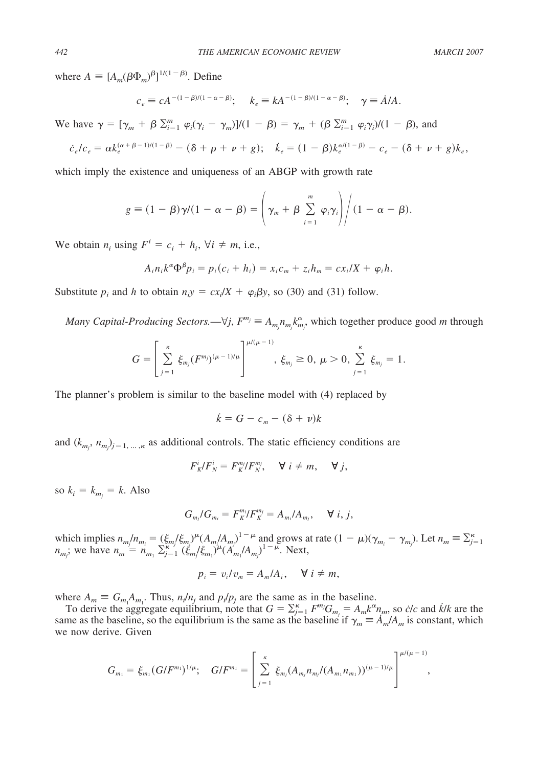where  $A = [A_m(\beta \Phi_m)^{\beta}]^{1/(1-\beta)}$ . Define

$$
c_e \equiv cA^{-(1-\beta)/(1-\alpha-\beta)}; \quad k_e \equiv kA^{-(1-\beta)/(1-\alpha-\beta)}; \quad \gamma \equiv \dot{A}/A.
$$

We have  $\gamma = [\gamma_m + \beta \sum_{i=1}^m \varphi_i(\gamma_i - \gamma_m)]/(1 - \beta) = \gamma_m + (\beta \sum_{i=1}^m \varphi_i \gamma_i)/(1 - \beta)$ , and

$$
\dot{c}_e/c_e = \alpha k_e^{(\alpha+\beta-1)/(1-\beta)} - (\delta + \rho + \nu + g); \quad \dot{k}_e = (1-\beta)k_e^{\alpha/(1-\beta)} - c_e - (\delta + \nu + g)k_e,
$$

which imply the existence and uniqueness of an ABGP with growth rate

$$
g = (1 - \beta)\gamma/(1 - \alpha - \beta) = \left(\gamma_m + \beta \sum_{i=1}^m \varphi_i \gamma_i\right)/(1 - \alpha - \beta).
$$

We obtain  $n_i$  using  $F^i = c_i + h_i$ ,  $\forall i \neq m$ , i.e.,

$$
A_i n_i k^{\alpha} \Phi^{\beta} p_i = p_i (c_i + h_i) = x_i c_m + z_i h_m = c x_i / X + \varphi_i h.
$$

Substitute  $p_i$  and  $h$  to obtain  $n_i y = c x_i/X + \varphi_i \beta y$ , so (30) and (31) follow.

*Many Capital-Producing Sectors.*— $\forall j$ ,  $F^{m_j} \equiv A_{m_j} h_{m_j}^{\alpha}$ , which together produce good *m* through

$$
G=\left[\sum_{j=1}^{\kappa}\xi_{m_j}(F^{m_j})^{(\mu-1)/\mu}\right]^{\mu/(\mu-1)},\ \xi_{m_j}\geq 0,\ \mu>0,\ \sum_{j=1}^{\kappa}\xi_{m_j}=1.
$$

The planner's problem is similar to the baseline model with (4) replaced by

$$
\dot{k} = G - c_m - (\delta + \nu)k
$$

and  $(k_{m_j}, n_{m_j})_{j=1,\dots,\kappa}$  as additional controls. The static efficiency conditions are

$$
F_K^i/F_N^i = F_K^{m_j}/F_N^{m_j}, \quad \forall i \neq m, \quad \forall j,
$$

so  $k_i = k_{m_i} = k$ . Also

$$
G_{m_j}/G_{m_i} = F_K^{m_i}/F_K^{m_j} = A_{m_i}/A_{m_j}, \quad \forall i, j,
$$

which implies  $n_m/n_m = (\xi_m/\xi_m)^{\mu}(A_m/A_m)^{1-\mu}$  and grows at rate  $(1-\mu)(\gamma_{m_i} - \gamma_{m_j})$ . Let  $n_m \equiv \sum_{j=1}^{\kappa}$  $n_{m_j}$ ; we have  $n_m = n_{m_1} \sum_{j=1}^{k_m} (\xi_{m_j}/\xi_{m_1})^{\mu} (\hat{A}_{m_1}/A_{m_j})^{1-\mu}$ . Next,

$$
p_i = v_i/v_m = A_m/A_i, \quad \forall i \neq m,
$$

where  $A_m \equiv G_{m_1} A_{m_1}$ . Thus,  $n_i/n_j$  and  $p_i/p_j$  are the same as in the baseline.

To derive the aggregate equilibrium, note that  $G = \sum_{j=1}^{k} F^{m_j} G_{m_j} = A_m k^{\alpha} n_m$ , so *c*/*c* and *k*/*k* are the same as the baseline, so the equilibrium is the same as the baseline if  $\gamma_m \equiv A_m/A_m$  is constant, which we now derive. Given

$$
G_{m_1} = \xi_{m_1} (GIF^{m_1})^{1/\mu}; \quad GIF^{m_1} = \left[ \sum_{j=1}^{\kappa} \xi_{m_j} (A_{m_j} n_{m_j} / (A_{m_1} n_{m_1}))^{(\mu - 1)/\mu} \right]^{\mu/(\mu - 1)},
$$